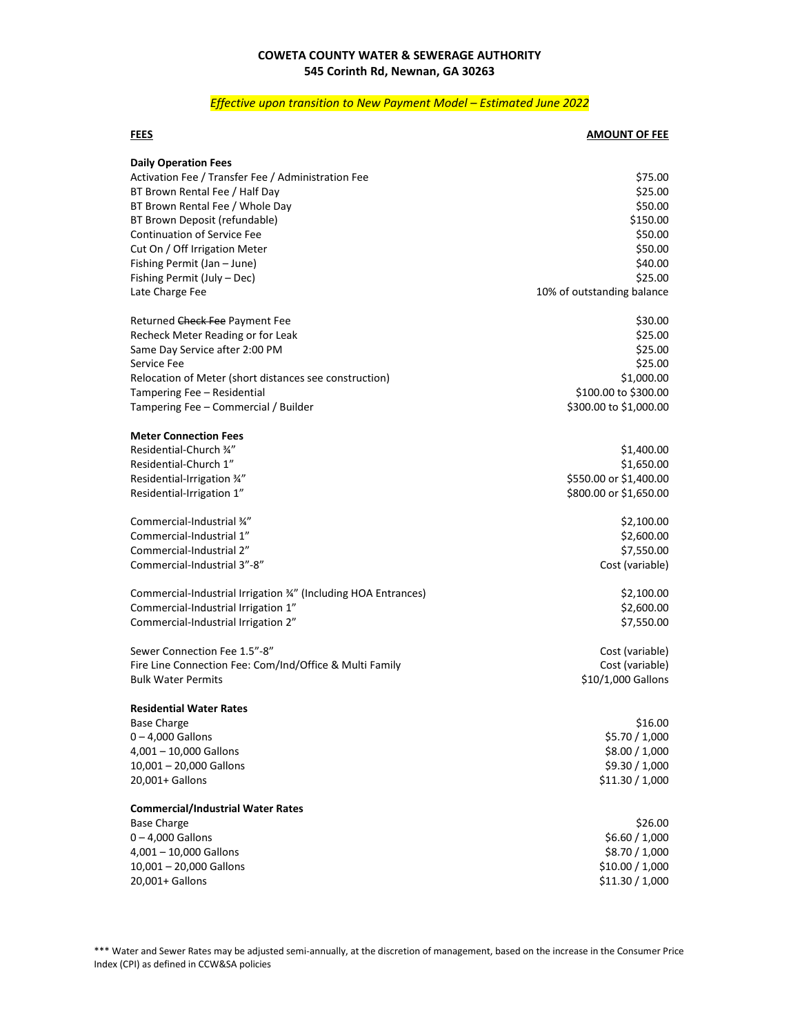## **COWETA COUNTY WATER & SEWERAGE AUTHORITY 545 Corinth Rd, Newnan, GA 30263**

## *Effective upon transition to New Payment Model – Estimated June 2022*

## **FEES AMOUNT OF FEE**

| <b>Daily Operation Fees</b>                                     |                            |
|-----------------------------------------------------------------|----------------------------|
| Activation Fee / Transfer Fee / Administration Fee              | \$75.00                    |
| BT Brown Rental Fee / Half Day                                  | \$25.00                    |
| BT Brown Rental Fee / Whole Day                                 | \$50.00                    |
| BT Brown Deposit (refundable)                                   | \$150.00                   |
| <b>Continuation of Service Fee</b>                              | \$50.00                    |
| Cut On / Off Irrigation Meter                                   | \$50.00                    |
| Fishing Permit (Jan - June)                                     | \$40.00                    |
| Fishing Permit (July - Dec)                                     | \$25.00                    |
| Late Charge Fee                                                 | 10% of outstanding balance |
| Returned Check Fee Payment Fee                                  | \$30.00                    |
| Recheck Meter Reading or for Leak                               | \$25.00                    |
| Same Day Service after 2:00 PM                                  | \$25.00                    |
| Service Fee                                                     | \$25.00                    |
| Relocation of Meter (short distances see construction)          | \$1,000.00                 |
| Tampering Fee - Residential                                     | \$100.00 to \$300.00       |
| Tampering Fee - Commercial / Builder                            | \$300.00 to \$1,000.00     |
| <b>Meter Connection Fees</b>                                    |                            |
| Residential-Church 34"                                          | \$1,400.00                 |
| Residential-Church 1"                                           | \$1,650.00                 |
| Residential-Irrigation 34"                                      | \$550.00 or \$1,400.00     |
| Residential-Irrigation 1"                                       | \$800.00 or \$1,650.00     |
| Commercial-Industrial 34"                                       | \$2,100.00                 |
| Commercial-Industrial 1"                                        | \$2,600.00                 |
| Commercial-Industrial 2"                                        | \$7,550.00                 |
| Commercial-Industrial 3"-8"                                     | Cost (variable)            |
| Commercial-Industrial Irrigation 3/4" (Including HOA Entrances) | \$2,100.00                 |
| Commercial-Industrial Irrigation 1"                             | \$2,600.00                 |
| Commercial-Industrial Irrigation 2"                             | \$7,550.00                 |
| Sewer Connection Fee 1.5"-8"                                    | Cost (variable)            |
| Fire Line Connection Fee: Com/Ind/Office & Multi Family         | Cost (variable)            |
| <b>Bulk Water Permits</b>                                       | \$10/1,000 Gallons         |
| <b>Residential Water Rates</b>                                  |                            |
| <b>Base Charge</b>                                              | \$16.00                    |
| $0 - 4,000$ Gallons                                             | \$5.70 / 1,000             |
| $4,001 - 10,000$ Gallons                                        | \$8.00 / 1,000             |
| 10,001 - 20,000 Gallons                                         | \$9.30 / 1,000             |
| 20,001+ Gallons                                                 | \$11.30 / 1,000            |
| <b>Commercial/Industrial Water Rates</b>                        |                            |
| <b>Base Charge</b>                                              | \$26.00                    |
| $0 - 4,000$ Gallons                                             | \$6.60 / 1,000             |
| 4,001 - 10,000 Gallons                                          | \$8.70 / 1,000             |
| 10,001 - 20,000 Gallons                                         | \$10.00 / 1,000            |
| 20,001+ Gallons                                                 | \$11.30 / 1,000            |
|                                                                 |                            |